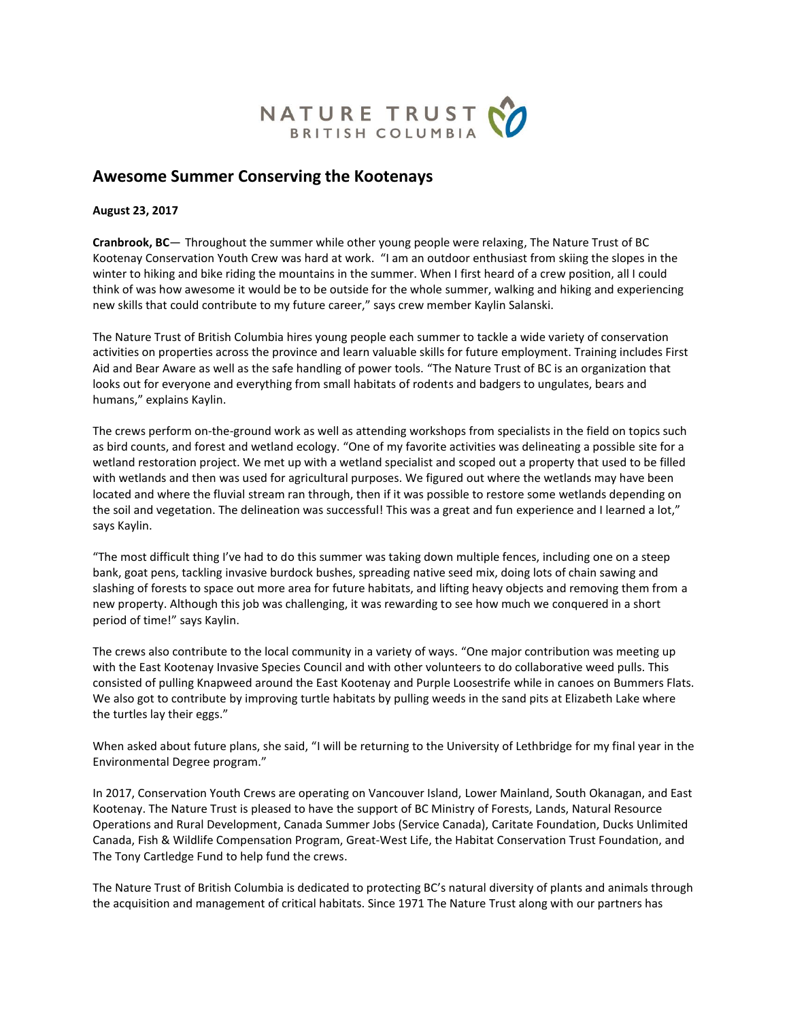

## **Awesome Summer Conserving the Kootenays**

**August 23, 2017**

**Cranbrook, BC**— Throughout the summer while other young people were relaxing, The Nature Trust of BC Kootenay Conservation Youth Crew was hard at work. "I am an outdoor enthusiast from skiing the slopes in the winter to hiking and bike riding the mountains in the summer. When I first heard of a crew position, all I could think of was how awesome it would be to be outside for the whole summer, walking and hiking and experiencing new skills that could contribute to my future career," says crew member Kaylin Salanski.

The Nature Trust of British Columbia hires young people each summer to tackle a wide variety of conservation activities on properties across the province and learn valuable skills for future employment. Training includes First Aid and Bear Aware as well as the safe handling of power tools. "The Nature Trust of BC is an organization that looks out for everyone and everything from small habitats of rodents and badgers to ungulates, bears and humans," explains Kaylin.

The crews perform on-the-ground work as well as attending workshops from specialists in the field on topics such as bird counts, and forest and wetland ecology. "One of my favorite activities was delineating a possible site for a wetland restoration project. We met up with a wetland specialist and scoped out a property that used to be filled with wetlands and then was used for agricultural purposes. We figured out where the wetlands may have been located and where the fluvial stream ran through, then if it was possible to restore some wetlands depending on the soil and vegetation. The delineation was successful! This was a great and fun experience and I learned a lot," says Kaylin.

"The most difficult thing I've had to do this summer was taking down multiple fences, including one on a steep bank, goat pens, tackling invasive burdock bushes, spreading native seed mix, doing lots of chain sawing and slashing of forests to space out more area for future habitats, and lifting heavy objects and removing them from a new property. Although this job was challenging, it was rewarding to see how much we conquered in a short period of time!" says Kaylin.

The crews also contribute to the local community in a variety of ways. "One major contribution was meeting up with the East Kootenay Invasive Species Council and with other volunteers to do collaborative weed pulls. This consisted of pulling Knapweed around the East Kootenay and Purple Loosestrife while in canoes on Bummers Flats. We also got to contribute by improving turtle habitats by pulling weeds in the sand pits at Elizabeth Lake where the turtles lay their eggs."

When asked about future plans, she said, "I will be returning to the University of Lethbridge for my final year in the Environmental Degree program."

In 2017, Conservation Youth Crews are operating on Vancouver Island, Lower Mainland, South Okanagan, and East Kootenay. The Nature Trust is pleased to have the support of BC Ministry of Forests, Lands, Natural Resource Operations and Rural Development, Canada Summer Jobs (Service Canada), Caritate Foundation, Ducks Unlimited Canada, Fish & Wildlife Compensation Program, Great-West Life, the Habitat Conservation Trust Foundation, and The Tony Cartledge Fund to help fund the crews.

The Nature Trust of British Columbia is dedicated to protecting BC's natural diversity of plants and animals through the acquisition and management of critical habitats. Since 1971 The Nature Trust along with our partners has